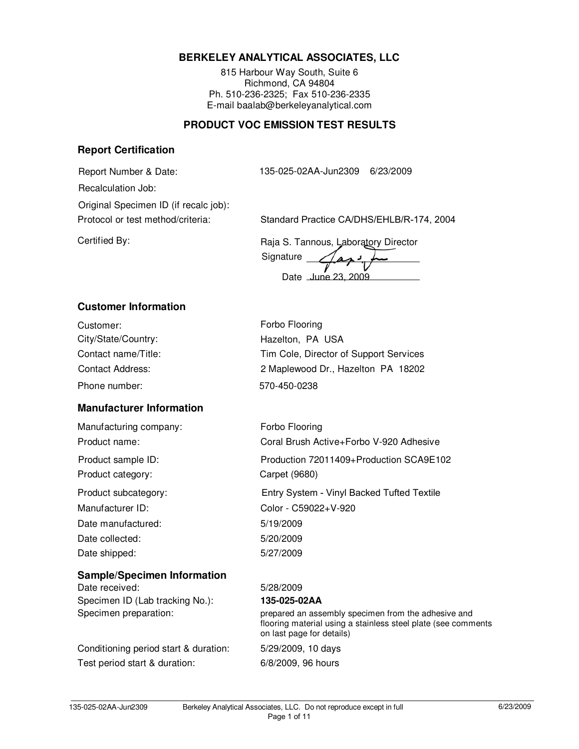# **BERKELEY ANALYTICAL ASSOCIATES, LLC**

815 Harbour Way South, Suite 6 Richmond, CA 94804 Ph. 510-236-2325; Fax 510-236-2335 E-mail baalab@berkeleyanalytical.com

# **PRODUCT VOC EMISSION TEST RESULTS**

#### **Report Certification**

Report Number & Date: 135-025-02AA-Jun2309 6/23/2009

Protocol or test method/criteria: Standard Practice CA/DHS/EHLB/R-174, 2004 Recalculation Job: Original Specimen ID (if recalc job):

Certified By: Certified By: Raja S. Tannous, Laboratory Director **Signature** 

Date June 23, 2009

# **Customer Information**

| Customer:           |  |
|---------------------|--|
| City/State/Country: |  |
| Contact name/Title: |  |
| Contact Address:    |  |
| Phone number:       |  |

# **Manufacturer Information**

Manufacturing company: Forbo Flooring Product category: Carpet (9680) Date manufactured: 5/19/2009 Date collected: 5/20/2009 Date shipped: 5/27/2009

#### **Sample/Specimen Information**

Date received: 5/28/2009 Specimen ID (Lab tracking No.): **135-025-02AA**

Conditioning period start & duration: 5/29/2009, 10 days Test period start & duration: 6/8/2009, 96 hours

Forbo Flooring Hazelton, PA USA Tim Cole, Director of Support Services Phone number: 570-450-0238 2 Maplewood Dr., Hazelton PA 18202

Product name: Coral Brush Active+Forbo V-920 Adhesive Product subcategory: Entry System - Vinyl Backed Tufted Textile Manufacturer ID: Color - C59022+V-920 Product sample ID: Production 72011409+Production SCA9E102

Specimen preparation: prepared an assembly specimen from the adhesive and flooring material using a stainless steel plate (see comments on last page for details)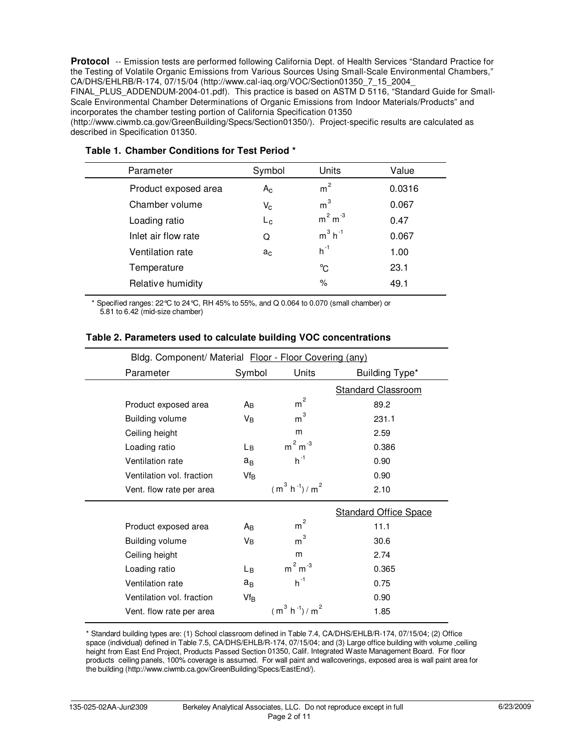Protocol -- Emission tests are performed following California Dept. of Health Services "Standard Practice for the Testing of Volatile Organic Emissions from Various Sources Using Small-Scale Environmental Chambers," CA/DHS/EHLRB/R-174, 07/15/04 (http://www.cal-iaq.org/VOC/Section01350\_7\_15\_2004\_

FINAL PLUS ADDENDUM-2004-01.pdf). This practice is based on ASTM D 5116, "Standard Guide for Small-Scale Environmental Chamber Determinations of Organic Emissions from Indoor Materials/Products" and incorporates the chamber testing portion of California Specification 01350

(http://www.ciwmb.ca.gov/GreenBuilding/Specs/Section01350/). Project-specific results are calculated as described in Specification 01350.

| Parameter            | Symbol         | Units                 | Value  |
|----------------------|----------------|-----------------------|--------|
| Product exposed area | $A_{C}$        | m <sup>2</sup>        | 0.0316 |
| Chamber volume       | $V_{\rm C}$    | m <sup>3</sup>        | 0.067  |
| Loading ratio        | $L_{\rm c}$    | $m2 m-3$              | 0.47   |
| Inlet air flow rate  | Q              | $m^3$ h <sup>-1</sup> | 0.067  |
| Ventilation rate     | a <sub>c</sub> | $h^{-1}$              | 1.00   |
| Temperature          |                | °C                    | 23.1   |
| Relative humidity    |                | $\%$                  | 49.1   |
|                      |                |                       |        |

## **Table 1. Chamber Conditions for Test Period \***

i,

\* Specified ranges: 22°C to 24°C, RH 45% to 55%, and Q 0.064 to 0.070 (small chamber) or 5.81 to 6.42 (mid-size chamber)

| Bldg. Component/ Material Floor - Floor Covering (any) |                 |                     |                              |  |
|--------------------------------------------------------|-----------------|---------------------|------------------------------|--|
| Parameter                                              | Symbol          | Units               | Building Type*               |  |
|                                                        |                 |                     | <b>Standard Classroom</b>    |  |
| Product exposed area                                   | Aв              | $\overline{c}$<br>m | 89.2                         |  |
| <b>Building volume</b>                                 | VB              | $\mathsf{m}^3$      | 231.1                        |  |
| Ceiling height                                         |                 | m                   | 2.59                         |  |
| Loading ratio                                          | Lв              | $m2 m-3$            | 0.386                        |  |
| Ventilation rate                                       | $a_B$           | $h^{-1}$            | 0.90                         |  |
| Ventilation vol. fraction                              | Vf <sub>B</sub> |                     | 0.90                         |  |
| Vent. flow rate per area                               |                 | $(m^3 h^{-1})/m^2$  | 2.10                         |  |
|                                                        |                 |                     | <b>Standard Office Space</b> |  |
| Product exposed area                                   | Aв              | $\overline{c}$<br>m | 11.1                         |  |
| <b>Building volume</b>                                 | Vв              | 3<br>m              | 30.6                         |  |
| Ceiling height                                         |                 | m                   | 2.74                         |  |
| Loading ratio                                          | Lв              | $m2 m-3$            | 0.365                        |  |
| Ventilation rate                                       | $a_B$           | $h^{-1}$            | 0.75                         |  |
| Ventilation vol. fraction                              | $Vf_B$          |                     | 0.90                         |  |
| Vent. flow rate per area                               |                 | $(m^3 h^{-1})/m^2$  | 1.85                         |  |

#### **Table 2. Parameters used to calculate building VOC concentrations**

\* Standard building types are: (1) School classroom defined in Table 7.4, CA/DHS/EHLB/R-174, 07/15/04; (2) Office space (individual) defined in Table 7.5, CA/DHS/EHLB/R-174, 07/15/04; and (3) Large office building with volume ceiling height from East End Project, Products Passed Section 01350, Calif. Integrated Waste Management Board. For floor products ceiling panels, 100% coverage is assumed. For wall paint and wallcoverings, exposed area is wall paint area for the building (http://www.ciwmb.ca.gov/GreenBuilding/Specs/EastEnd/).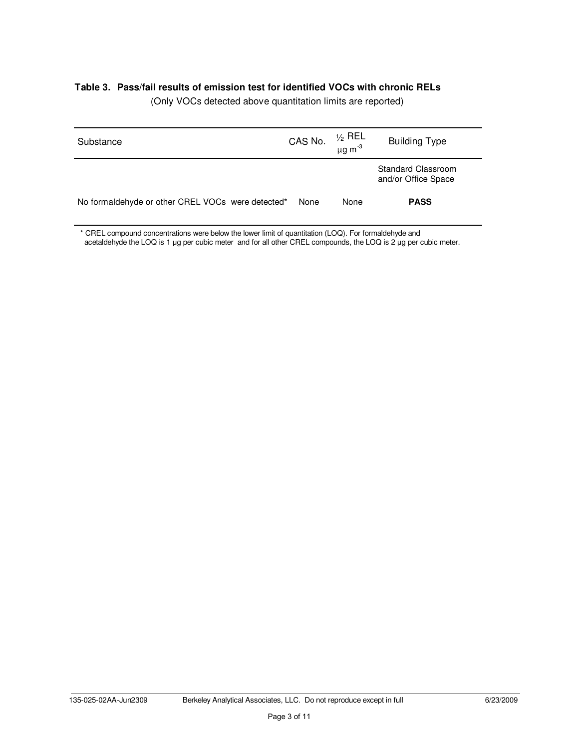# **Table 3. Pass/fail results of emission test for identified VOCs with chronic RELs**

| Substance                                         | CAS No. | ½ REL<br>μg m <sup>-3</sup> | <b>Building Type</b>                             |
|---------------------------------------------------|---------|-----------------------------|--------------------------------------------------|
|                                                   |         |                             | <b>Standard Classroom</b><br>and/or Office Space |
| No formaldehyde or other CREL VOCs were detected* | None    | None                        | <b>PASS</b>                                      |

(Only VOCs detected above quantitation limits are reported)

\* CREL compound concentrations were below the lower limit of quantitation (LOQ). For formaldehyde and acetaldehyde the LOQ is 1 µg per cubic meter and for all other CREL compounds, the LOQ is 2 µg per cubic meter.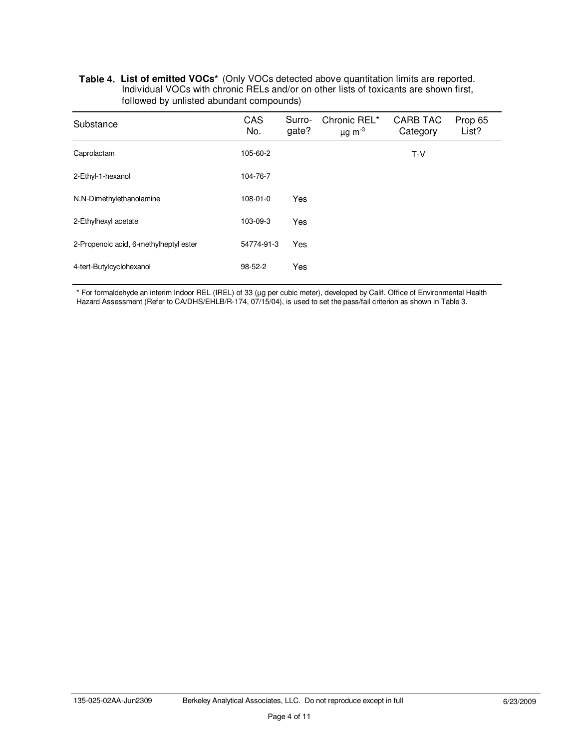#### **Table 4. List of emitted VOCs\*** (Only VOCs detected above quantitation limits are reported. Individual VOCs with chronic RELs and/or on other lists of toxicants are shown first, followed by unlisted abundant compounds)

| Substance                              | CAS<br>No.     | Surro-<br>gate? | Chronic REL*<br>$\mu$ g m $^{-3}$ | <b>CARB TAC</b><br>Category | Prop 65<br>List? |
|----------------------------------------|----------------|-----------------|-----------------------------------|-----------------------------|------------------|
| Caprolactam                            | 105-60-2       |                 |                                   | $T-V$                       |                  |
| 2-Ethyl-1-hexanol                      | 104-76-7       |                 |                                   |                             |                  |
| N,N-Dimethylethanolamine               | $108 - 01 - 0$ | Yes             |                                   |                             |                  |
| 2-Ethylhexyl acetate                   | 103-09-3       | Yes             |                                   |                             |                  |
| 2-Propenoic acid, 6-methylheptyl ester | 54774-91-3     | Yes             |                                   |                             |                  |
| 4-tert-Butylcyclohexanol               | $98 - 52 - 2$  | Yes             |                                   |                             |                  |

\* For formaldehyde an interim Indoor REL (IREL) of 33 (µg per cubic meter), developed by Calif. Office of Environmental Health Hazard Assessment (Refer to CA/DHS/EHLB/R-174, 07/15/04), is used to set the pass/fail criterion as shown in Table 3.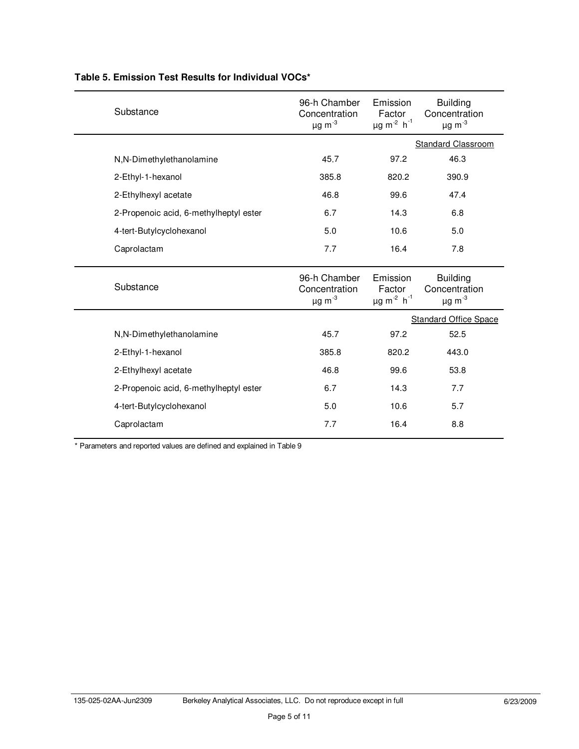| Substance                              | 96-h Chamber<br>Concentration<br>$\mu$ g m $^{-3}$ | Emission<br>Factor<br>$\mu$ g m <sup>-2</sup> h <sup>-1</sup> | <b>Building</b><br>Concentration<br>$\mu$ g m $^{-3}$       |
|----------------------------------------|----------------------------------------------------|---------------------------------------------------------------|-------------------------------------------------------------|
|                                        |                                                    |                                                               | <b>Standard Classroom</b>                                   |
| N,N-Dimethylethanolamine               | 45.7                                               | 97.2                                                          | 46.3                                                        |
| 2-Ethyl-1-hexanol                      | 385.8                                              | 820.2                                                         | 390.9                                                       |
| 2-Ethylhexyl acetate                   | 46.8                                               | 99.6                                                          | 47.4                                                        |
| 2-Propenoic acid, 6-methylheptyl ester | 6.7                                                | 14.3                                                          | 6.8                                                         |
| 4-tert-Butylcyclohexanol               | 5.0                                                | 10.6                                                          | 5.0                                                         |
| Caprolactam                            | 7.7                                                | 16.4                                                          | 7.8                                                         |
| Substance                              | 96-h Chamber<br>Concentration<br>$\mu$ g m $^{-3}$ | Emission<br>Factor<br>$\mu$ g m <sup>-2</sup> h <sup>-1</sup> | <b>Building</b><br>Concentration<br>$\mu$ g m <sup>-3</sup> |
|                                        |                                                    |                                                               | <b>Standard Office Space</b>                                |
| N,N-Dimethylethanolamine               | 45.7                                               | 97.2                                                          | 52.5                                                        |
| 2-Ethyl-1-hexanol                      | 385.8                                              | 820.2                                                         | 443.0                                                       |
| 2-Ethylhexyl acetate                   | 46.8                                               | 99.6                                                          | 53.8                                                        |
|                                        |                                                    |                                                               |                                                             |
| 2-Propenoic acid, 6-methylheptyl ester | 6.7                                                | 14.3                                                          | 7.7                                                         |
| 4-tert-Butylcyclohexanol               | 5.0                                                | 10.6                                                          | 5.7                                                         |

# **Table 5. Emission Test Results for Individual VOCs\***

\* Parameters and reported values are defined and explained in Table 9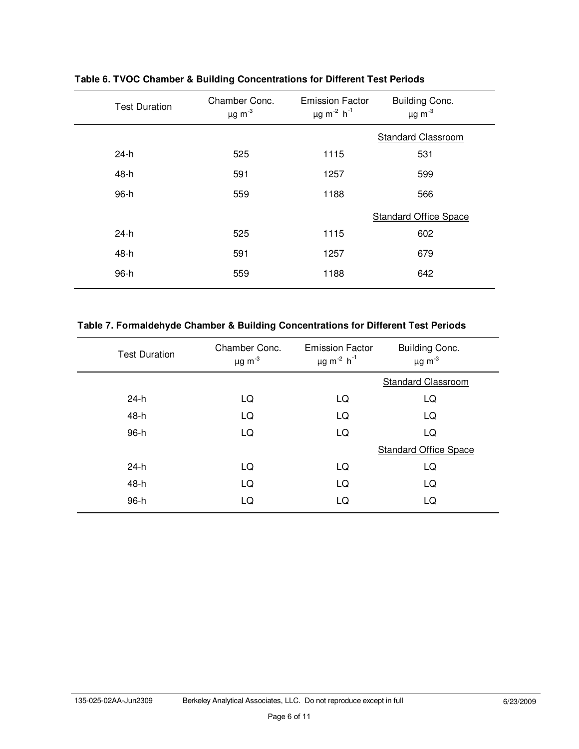| <b>Test Duration</b> | Chamber Conc.<br>$\mu$ g m <sup>-3</sup> | <b>Emission Factor</b><br>$\mu$ g m <sup>-2</sup> h <sup>-1</sup> | Building Conc.<br>$\mu$ g m $^{-3}$ |
|----------------------|------------------------------------------|-------------------------------------------------------------------|-------------------------------------|
|                      |                                          |                                                                   | <b>Standard Classroom</b>           |
| $24-h$               | 525                                      | 1115                                                              | 531                                 |
| 48-h                 | 591                                      | 1257                                                              | 599                                 |
| 96-h                 | 559                                      | 1188                                                              | 566                                 |
|                      |                                          |                                                                   | <b>Standard Office Space</b>        |
| $24-h$               | 525                                      | 1115                                                              | 602                                 |
| 48-h                 | 591                                      | 1257                                                              | 679                                 |
| 96-h                 | 559                                      | 1188                                                              | 642                                 |

**Table 6. TVOC Chamber & Building Concentrations for Different Test Periods**

# **Table 7. Formaldehyde Chamber & Building Concentrations for Different Test Periods**

| <b>Test Duration</b> | Chamber Conc.<br>$\mu$ g m $^{-3}$ | <b>Emission Factor</b><br>$\mu$ g m <sup>-2</sup> h <sup>-1</sup> | Building Conc.<br>$\mu$ g m <sup>-3</sup> |
|----------------------|------------------------------------|-------------------------------------------------------------------|-------------------------------------------|
|                      |                                    |                                                                   | <b>Standard Classroom</b>                 |
| $24-h$               | LQ                                 | LQ                                                                | LQ                                        |
| 48-h                 | LQ                                 | LQ                                                                | LQ                                        |
| 96-h                 | LQ                                 | LQ                                                                | LQ                                        |
|                      |                                    |                                                                   | <b>Standard Office Space</b>              |
| $24-h$               | LQ                                 | LQ                                                                | LQ                                        |
| 48-h                 | LQ                                 | LQ                                                                | LQ                                        |
| 96-h                 | LQ                                 | LQ                                                                | LQ                                        |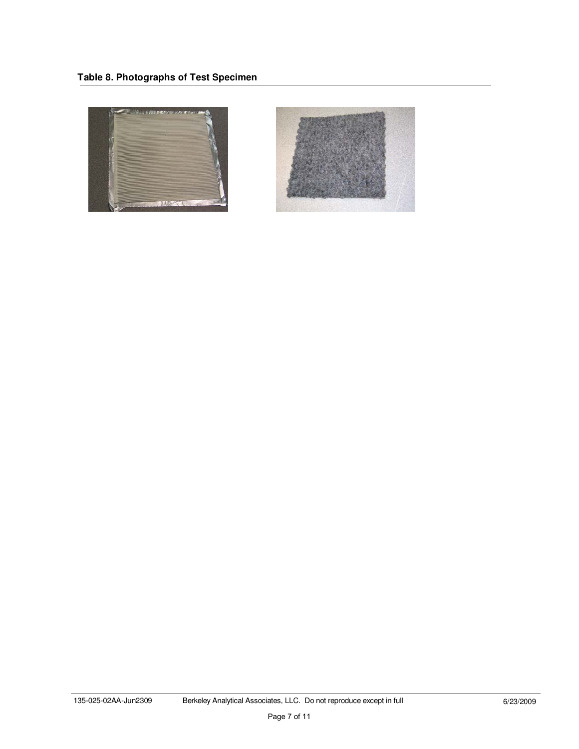

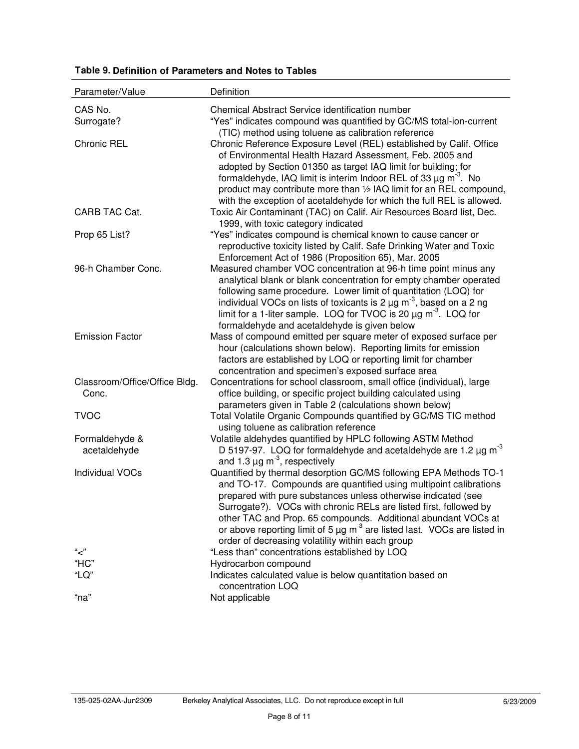| Parameter/Value                        | Definition                                                                                                                                                                                                                                                                                                                                                                                                                                                                                     |
|----------------------------------------|------------------------------------------------------------------------------------------------------------------------------------------------------------------------------------------------------------------------------------------------------------------------------------------------------------------------------------------------------------------------------------------------------------------------------------------------------------------------------------------------|
| CAS No.                                | Chemical Abstract Service identification number                                                                                                                                                                                                                                                                                                                                                                                                                                                |
| Surrogate?                             | "Yes" indicates compound was quantified by GC/MS total-ion-current<br>(TIC) method using toluene as calibration reference                                                                                                                                                                                                                                                                                                                                                                      |
| Chronic REL                            | Chronic Reference Exposure Level (REL) established by Calif. Office<br>of Environmental Health Hazard Assessment, Feb. 2005 and<br>adopted by Section 01350 as target IAQ limit for building; for<br>formaldehyde, IAQ limit is interim Indoor REL of 33 $\mu$ g m <sup>3</sup> . No<br>product may contribute more than 1/2 IAQ limit for an REL compound,<br>with the exception of acetaldehyde for which the full REL is allowed.                                                           |
| CARB TAC Cat.                          | Toxic Air Contaminant (TAC) on Calif. Air Resources Board list, Dec.<br>1999, with toxic category indicated                                                                                                                                                                                                                                                                                                                                                                                    |
| Prop 65 List?                          | "Yes" indicates compound is chemical known to cause cancer or<br>reproductive toxicity listed by Calif. Safe Drinking Water and Toxic<br>Enforcement Act of 1986 (Proposition 65), Mar. 2005                                                                                                                                                                                                                                                                                                   |
| 96-h Chamber Conc.                     | Measured chamber VOC concentration at 96-h time point minus any<br>analytical blank or blank concentration for empty chamber operated<br>following same procedure. Lower limit of quantitation (LOQ) for<br>individual VOCs on lists of toxicants is 2 $\mu$ g m <sup>3</sup> , based on a 2 ng<br>limit for a 1-liter sample. LOQ for TVOC is 20 µg m <sup>3</sup> . LOQ for<br>formaldehyde and acetaldehyde is given below                                                                  |
| <b>Emission Factor</b>                 | Mass of compound emitted per square meter of exposed surface per<br>hour (calculations shown below). Reporting limits for emission<br>factors are established by LOQ or reporting limit for chamber<br>concentration and specimen's exposed surface area                                                                                                                                                                                                                                       |
| Classroom/Office/Office Bldg.<br>Conc. | Concentrations for school classroom, small office (individual), large<br>office building, or specific project building calculated using<br>parameters given in Table 2 (calculations shown below)                                                                                                                                                                                                                                                                                              |
| <b>TVOC</b>                            | Total Volatile Organic Compounds quantified by GC/MS TIC method<br>using toluene as calibration reference                                                                                                                                                                                                                                                                                                                                                                                      |
| Formaldehyde &<br>acetaldehyde         | Volatile aldehydes quantified by HPLC following ASTM Method<br>D 5197-97. LOQ for formaldehyde and acetaldehyde are 1.2 $\mu$ g m <sup>-3</sup><br>and 1.3 $\mu$ g m <sup>-3</sup> , respectively                                                                                                                                                                                                                                                                                              |
| Individual VOCs                        | Quantified by thermal desorption GC/MS following EPA Methods TO-1<br>and TO-17. Compounds are quantified using multipoint calibrations<br>prepared with pure substances unless otherwise indicated (see<br>Surrogate?). VOCs with chronic RELs are listed first, followed by<br>other TAC and Prop. 65 compounds. Additional abundant VOCs at<br>or above reporting limit of 5 $\mu$ g m <sup>-3</sup> are listed last. VOCs are listed in<br>order of decreasing volatility within each group |
| "ح"                                    | "Less than" concentrations established by LOQ                                                                                                                                                                                                                                                                                                                                                                                                                                                  |
| "HC"                                   | Hydrocarbon compound                                                                                                                                                                                                                                                                                                                                                                                                                                                                           |
| "LQ"                                   | Indicates calculated value is below quantitation based on<br>concentration LOQ                                                                                                                                                                                                                                                                                                                                                                                                                 |
| "na"                                   | Not applicable                                                                                                                                                                                                                                                                                                                                                                                                                                                                                 |

# **Table 9. Definition of Parameters and Notes to Tables**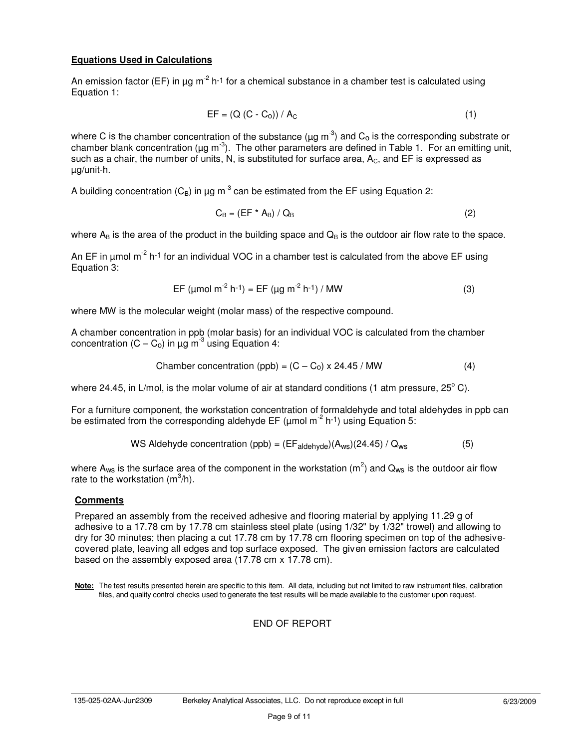# **Equations Used in Calculations**

An emission factor (EF) in  $\mu$ g m<sup>-2</sup> h<sup>-1</sup> for a chemical substance in a chamber test is calculated using Equation 1:

$$
EF = (Q (C - Co)) / AC
$$
 (1)

where C is the chamber concentration of the substance ( $\mu$ g m<sup>-3</sup>) and C<sub>o</sub> is the corresponding substrate or chamber blank concentration ( $\mu$ g m<sup>-3</sup>). The other parameters are defined in Table 1. For an emitting unit, such as a chair, the number of units, N, is substituted for surface area,  $A<sub>C</sub>$ , and EF is expressed as µg/unit-h.

A building concentration ( $C_B$ ) in µg m<sup>-3</sup> can be estimated from the EF using Equation 2:

$$
C_{\rm B} = (EF^* A_{\rm B}) / Q_{\rm B}
$$
 (2)

where  $A_B$  is the area of the product in the building space and  $Q_B$  is the outdoor air flow rate to the space.

An EF in umol  $m^2$  h<sup>-1</sup> for an individual VOC in a chamber test is calculated from the above EF using Equation 3:

$$
EF (µmol m-2 h-1) = EF (µg m-2 h-1) / MW
$$
 (3)

where MW is the molecular weight (molar mass) of the respective compound.

A chamber concentration in ppb (molar basis) for an individual VOC is calculated from the chamber concentration  $(C - C_0)$  in  $\mu$ g m<sup>-3</sup> using Equation 4:

$$
Chamber concentration (ppb) = (C - C0) \times 24.45 / MW
$$
 (4)

where 24.45, in L/mol, is the molar volume of air at standard conditions (1 atm pressure, 25 $^{\circ}$  C).

For a furniture component, the workstation concentration of formaldehyde and total aldehydes in ppb can be estimated from the corresponding aldehyde EF ( $\mu$ mol m<sup>-2</sup> h<sup>-1</sup>) using Equation 5:

WS Aldehyde concentration (ppb) = 
$$
(EF_{aldehyde})(A_{ws})(24.45) / Q_{ws}
$$
 (5)

where A<sub>ws</sub> is the surface area of the component in the workstation (m<sup>2</sup>) and Q<sub>ws</sub> is the outdoor air flow rate to the workstation  $(m^3/h)$ .

#### **Comments**

Prepared an assembly from the received adhesive and flooring material by applying 11.29 g of adhesive to a 17.78 cm by 17.78 cm stainless steel plate (using 1/32" by 1/32" trowel) and allowing to dry for 30 minutes; then placing a cut 17.78 cm by 17.78 cm flooring specimen on top of the adhesivecovered plate, leaving all edges and top surface exposed. The given emission factors are calculated based on the assembly exposed area (17.78 cm x 17.78 cm).

**Note:** The test results presented herein are specific to this item. All data, including but not limited to raw instrument files, calibration files, and quality control checks used to generate the test results will be made available to the customer upon request.

# END OF REPORT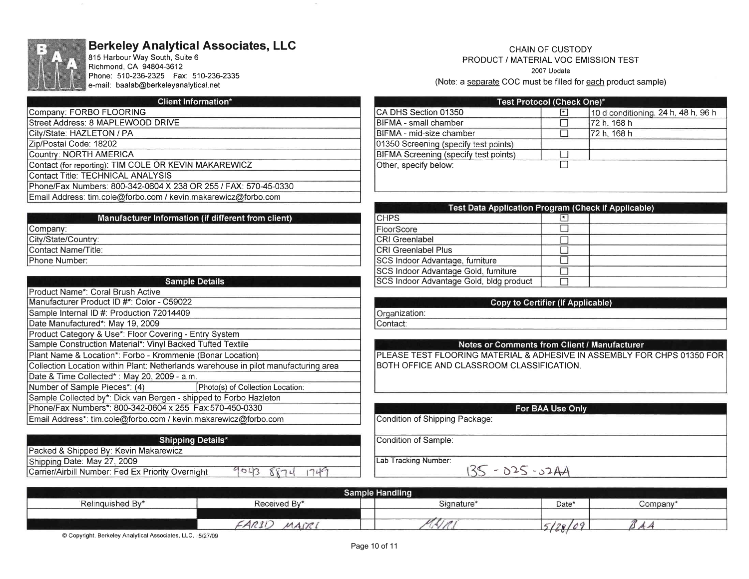

# Berkeley Analytical Associates, LLC

815 Harbour Way South, Suite 6 Richmond, CA 94804-3612 Phone: 510-236-2325 Fax: 510-236-2335 e-mail: baalab@berkeleyanalytical.net

#### **Client Information\***

Companv: FORBO FLOORING Street Address: 8 MAPLEWOOD DRIVE

City/State: HAZLETON / PA

Zip/Postal Code: 18202

Country: NORTH AMERICA

Contact (for reportinq): TIM COLE OR KEVIN MAKAREWICZ

Contact Title: TECHNICAL ANALYSIS

Phone/Fax Numbers: 800-342-0604 X 238 OR 255 | FAX: 570-45-0330

Email Address: tim.cole@forbo.com / kevin.makarewicz@forbo.com

| <b>Sample Details</b>                                                               |                                  |  |  |
|-------------------------------------------------------------------------------------|----------------------------------|--|--|
| Product Name*: Coral Brush Active                                                   |                                  |  |  |
| Manufacturer Product ID #*: Color - C59022                                          |                                  |  |  |
| Sample Internal ID #: Production 72014409                                           |                                  |  |  |
| Date Manufactured*: May 19, 2009                                                    |                                  |  |  |
| Product Category & Use*: Floor Covering - Entry System                              |                                  |  |  |
| Sample Construction Material*: Vinyl Backed Tufted Textile                          |                                  |  |  |
| Plant Name & Location*: Forbo - Krommenie (Bonar Location)                          |                                  |  |  |
| Collection Location within Plant: Netherlands warehouse in pilot manufacturing area |                                  |  |  |
| Date & Time Collected*: May 20, 2009 - a.m.                                         |                                  |  |  |
| Number of Sample Pieces*: (4)                                                       | Photo(s) of Collection Location: |  |  |
| Sample Collected by*: Dick van Bergen - shipped to Forbo Hazleton                   |                                  |  |  |
| Phone/Fax Numbers*: 800-342-0604 x 255 Fax:570-450-0330                             |                                  |  |  |
| Email Address*: tim.cole@forbo.com / kevin.makarewicz@forbo.com                     |                                  |  |  |

#### CHAIN OF CUSTODY PRODUCT / MATERIAL VOC EMISSION TEST 2007 Update (Note: a separate COC must be filled for each product sample)

| Test Protocol (Check One)*            |              |                                     |  |  |
|---------------------------------------|--------------|-------------------------------------|--|--|
| CA DHS Section 01350                  | $\pmb{\ast}$ | 10 d conditioning, 24 h, 48 h, 96 h |  |  |
| BIFMA - small chamber                 |              | 72 h. 168 h                         |  |  |
| BIFMA - mid-size chamber              |              | 72 h, 168 h                         |  |  |
| 01350 Screening (specify test points) |              |                                     |  |  |
| BIFMA Screening (specify test points) |              |                                     |  |  |
| Other, specify below:                 |              |                                     |  |  |
|                                       |              |                                     |  |  |
|                                       |              |                                     |  |  |

| Test Data Application Program (Check if Applicable) |         |  |  |
|-----------------------------------------------------|---------|--|--|
| <b>CHPS</b>                                         | $\star$ |  |  |
| FloorScore                                          |         |  |  |
| <b>CRI</b> Greenlabel                               |         |  |  |
| <b>CRI Greenlabel Plus</b>                          |         |  |  |
| SCS Indoor Advantage, furniture                     |         |  |  |
| SCS Indoor Advantage Gold, furniture                |         |  |  |
| SCS Indoor Advantage Gold, bldg product             |         |  |  |

# **Copy to Certifier (If Applicable)**

Organization: Contact:

#### Notes or Comments from Client / Manufacturer

PLEASE TEST FLOORING MATERIAL & ADHESIVE IN ASSEMBLY FOR CHPS 01350 FOR BOTH OFFICE AND CLASSROOM CLASSIFICATION.

#### For BAA Use Only

 $135 - 025 - 0244$ 

Condition of Shipping Package:

Condition of Sample:

Lab Tracking Number:

**Shipping Details\*** Packed & Shipped Bv: Kevin Makarewicz Shipping Date: May 27, 2009  $9043$ 

Carrier/Airbill Number: Fed Ex Priority Overnight

| <b>Sample Handling</b>     |                                              |            |             |         |  |
|----------------------------|----------------------------------------------|------------|-------------|---------|--|
| $\sim$<br>Relinguished By* | Received By*                                 | Signature* | Date'       | Company |  |
|                            |                                              |            |             |         |  |
|                            | $AD^{\circ}$<br>$-100$<br>ساديد<br>$(7 + 1)$ |            | $-$<br>1201 |         |  |

 $1749$ 

 $8874$ 

@ Copyright, Berkeley Analytical Associates, LLC,